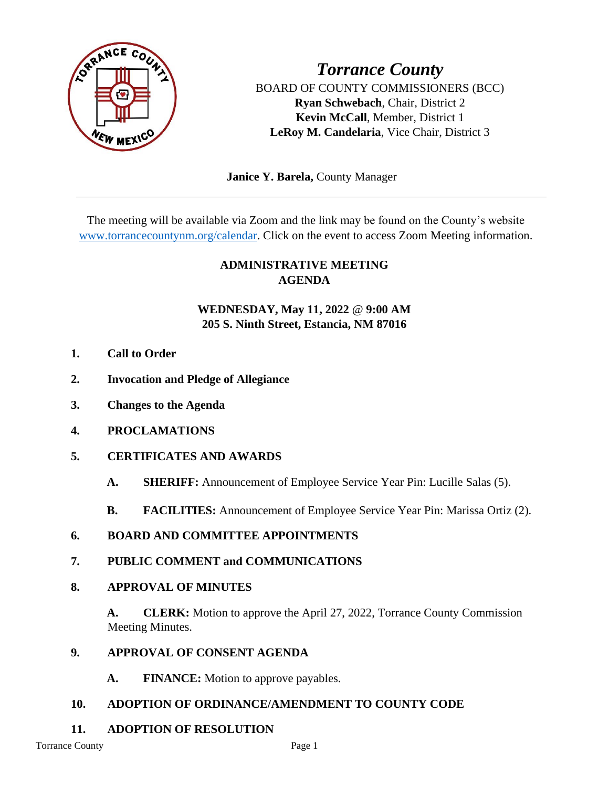

*Torrance County* BOARD OF COUNTY COMMISSIONERS (BCC) **Ryan Schwebach**, Chair, District 2 **Kevin McCall**, Member, District 1 **LeRoy M. Candelaria**, Vice Chair, District 3

 **Janice Y. Barela,** County Manager

The meeting will be available via Zoom and the link may be found on the County's website [www.torrancecountynm.org/calendar.](http://www.torrancecountynm.org/calendar) Click on the event to access Zoom Meeting information.

# **ADMINISTRATIVE MEETING AGENDA**

## **WEDNESDAY, May 11, 2022** @ **9:00 AM 205 S. Ninth Street, Estancia, NM 87016**

- **1. Call to Order**
- **2. Invocation and Pledge of Allegiance**
- **3. Changes to the Agenda**
- **4. PROCLAMATIONS**
- **5. CERTIFICATES AND AWARDS**
	- **A. SHERIFF:** Announcement of Employee Service Year Pin: Lucille Salas (5).
	- **B. FACILITIES:** Announcement of Employee Service Year Pin: Marissa Ortiz (2).
- **6. BOARD AND COMMITTEE APPOINTMENTS**
- **7. PUBLIC COMMENT and COMMUNICATIONS**
- **8. APPROVAL OF MINUTES**

**A. CLERK:** Motion to approve the April 27, 2022, Torrance County Commission Meeting Minutes.

- **9. APPROVAL OF CONSENT AGENDA**
	- **A. FINANCE:** Motion to approve payables.

### **10. ADOPTION OF ORDINANCE/AMENDMENT TO COUNTY CODE**

**11. ADOPTION OF RESOLUTION**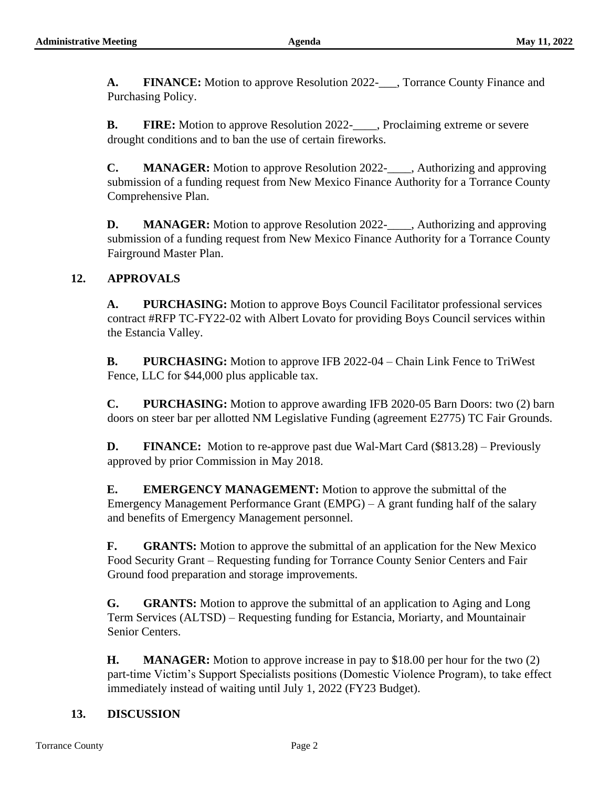**A. FINANCE:** Motion to approve Resolution 2022-\_\_\_, Torrance County Finance and Purchasing Policy.

**B. FIRE:** Motion to approve Resolution 2022-\_\_\_\_, Proclaiming extreme or severe drought conditions and to ban the use of certain fireworks.

**C. MANAGER:** Motion to approve Resolution 2022-\_\_\_\_, Authorizing and approving submission of a funding request from New Mexico Finance Authority for a Torrance County Comprehensive Plan.

**D. MANAGER:** Motion to approve Resolution 2022-\_\_\_\_, Authorizing and approving submission of a funding request from New Mexico Finance Authority for a Torrance County Fairground Master Plan.

### **12. APPROVALS**

**A. PURCHASING:** Motion to approve Boys Council Facilitator professional services contract #RFP TC-FY22-02 with Albert Lovato for providing Boys Council services within the Estancia Valley.

**B. PURCHASING:** Motion to approve IFB 2022-04 – Chain Link Fence to TriWest Fence, LLC for \$44,000 plus applicable tax.

**C. PURCHASING:** Motion to approve awarding IFB 2020-05 Barn Doors: two (2) barn doors on steer bar per allotted NM Legislative Funding (agreement E2775) TC Fair Grounds.

**D. FINANCE:** Motion to re-approve past due Wal-Mart Card (\$813.28) – Previously approved by prior Commission in May 2018.

**E. EMERGENCY MANAGEMENT:** Motion to approve the submittal of the Emergency Management Performance Grant (EMPG) – A grant funding half of the salary and benefits of Emergency Management personnel.

**F. GRANTS:** Motion to approve the submittal of an application for the New Mexico Food Security Grant – Requesting funding for Torrance County Senior Centers and Fair Ground food preparation and storage improvements.

**G. GRANTS:** Motion to approve the submittal of an application to Aging and Long Term Services (ALTSD) – Requesting funding for Estancia, Moriarty, and Mountainair Senior Centers.

**H. MANAGER:** Motion to approve increase in pay to \$18.00 per hour for the two (2) part-time Victim's Support Specialists positions (Domestic Violence Program), to take effect immediately instead of waiting until July 1, 2022 (FY23 Budget).

### **13. DISCUSSION**